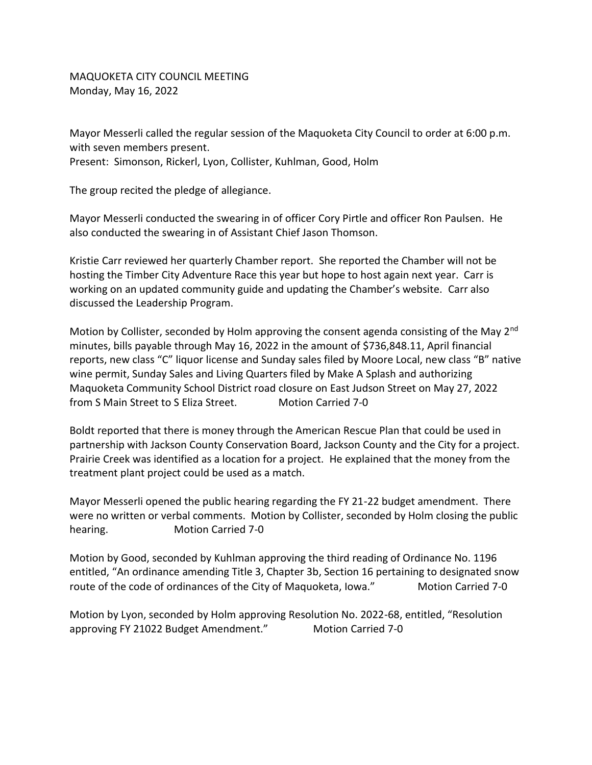MAQUOKETA CITY COUNCIL MEETING Monday, May 16, 2022

Mayor Messerli called the regular session of the Maquoketa City Council to order at 6:00 p.m. with seven members present. Present: Simonson, Rickerl, Lyon, Collister, Kuhlman, Good, Holm

The group recited the pledge of allegiance.

Mayor Messerli conducted the swearing in of officer Cory Pirtle and officer Ron Paulsen. He also conducted the swearing in of Assistant Chief Jason Thomson.

Kristie Carr reviewed her quarterly Chamber report. She reported the Chamber will not be hosting the Timber City Adventure Race this year but hope to host again next year. Carr is working on an updated community guide and updating the Chamber's website. Carr also discussed the Leadership Program.

Motion by Collister, seconded by Holm approving the consent agenda consisting of the May 2<sup>nd</sup> minutes, bills payable through May 16, 2022 in the amount of \$736,848.11, April financial reports, new class "C" liquor license and Sunday sales filed by Moore Local, new class "B" native wine permit, Sunday Sales and Living Quarters filed by Make A Splash and authorizing Maquoketa Community School District road closure on East Judson Street on May 27, 2022 from S Main Street to S Eliza Street. Motion Carried 7-0

Boldt reported that there is money through the American Rescue Plan that could be used in partnership with Jackson County Conservation Board, Jackson County and the City for a project. Prairie Creek was identified as a location for a project. He explained that the money from the treatment plant project could be used as a match.

Mayor Messerli opened the public hearing regarding the FY 21-22 budget amendment. There were no written or verbal comments. Motion by Collister, seconded by Holm closing the public hearing. Motion Carried 7-0

Motion by Good, seconded by Kuhlman approving the third reading of Ordinance No. 1196 entitled, "An ordinance amending Title 3, Chapter 3b, Section 16 pertaining to designated snow route of the code of ordinances of the City of Maquoketa, Iowa." Motion Carried 7-0

Motion by Lyon, seconded by Holm approving Resolution No. 2022-68, entitled, "Resolution approving FY 21022 Budget Amendment." Motion Carried 7-0